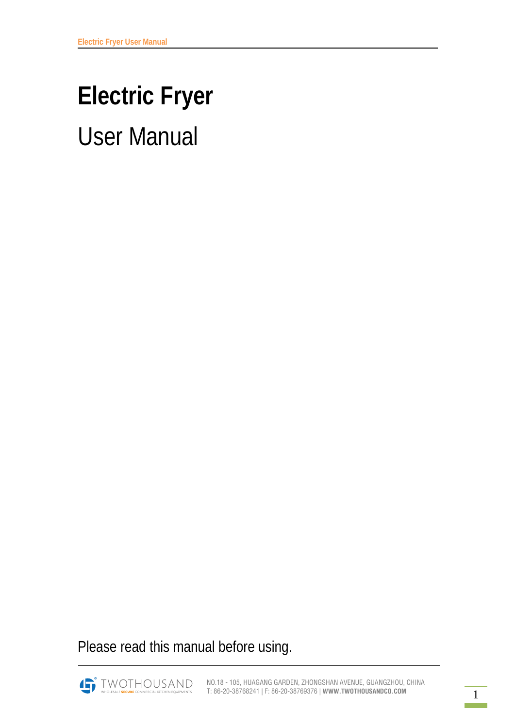# **Electric Fryer**  User Manual

Please read this manual before using.

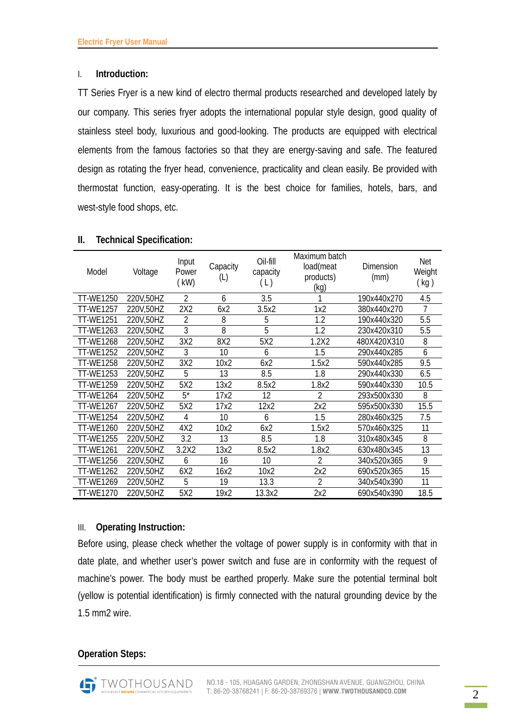#### I. **Introduction:**

TT Series Fryer is a new kind of electro thermal products researched and developed lately by our company. This series fryer adopts the international popular style design, good quality of stainless steel body, luxurious and good-looking. The products are equipped with electrical elements from the famous factories so that they are energy-saving and safe. The featured design as rotating the fryer head, convenience, practicality and clean easily. Be provided with thermostat function, easy-operating. It is the best choice for families, hotels, bars, and west-style food shops, etc.

| Model            | Voltage   | Input<br>Power<br>(kW) | Capacity<br>(L) | Oil-fill<br>capacity<br>(L) | Maximum batch<br>load(meat<br>products)<br>(kg) | Dimension<br>(mm) | Net<br>Weight<br>(kg) |
|------------------|-----------|------------------------|-----------------|-----------------------------|-------------------------------------------------|-------------------|-----------------------|
| TT-WE1250        | 220V,50HZ | $\overline{2}$         | 6               | 3.5                         |                                                 | 190x440x270       | 4.5                   |
| <b>TT-WE1257</b> | 220V,50HZ | 2X2                    | 6x2             | 3.5x2                       | 1x2                                             | 380x440x270       | 7                     |
| <b>TT-WE1251</b> | 220V,50HZ | $\mathfrak{D}$         | 8               | 5                           | 1.2                                             | 190x440x320       | 5.5                   |
| TT-WE1263        | 220V,50HZ | 3                      | 8               | 5                           | 1.2                                             | 230x420x310       | 5.5                   |
| <b>TT-WE1268</b> | 220V,50HZ | 3X2                    | 8X2             | 5X2                         | 1.2X2                                           | 480X420X310       | 8                     |
| <b>TT-WE1252</b> | 220V,50HZ | 3                      | 10              | 6                           | 1.5                                             | 290x440x285       | 6                     |
| <b>TT-WE1258</b> | 220V,50HZ | 3X2                    | 10x2            | 6x2                         | 1.5x2                                           | 590x440x285       | 9.5                   |
| <b>TT-WE1253</b> | 220V,50HZ | 5                      | 13              | 8.5                         | 1.8                                             | 290x440x330       | 6.5                   |
| TT-WE1259        | 220V,50HZ | 5X2                    | 13x2            | 8.5x2                       | 1.8x2                                           | 590x440x330       | 10.5                  |
| <b>TT-WE1264</b> | 220V,50HZ | $5^*$                  | 17x2            | 12                          | 2                                               | 293x500x330       | 8                     |
| TT-WE1267        | 220V,50HZ | 5X2                    | 17x2            | 12x2                        | 2x2                                             | 595x500x330       | 15.5                  |
| <b>TT-WE1254</b> | 220V,50HZ | 4                      | 10              | 6                           | 1.5                                             | 280x460x325       | 7.5                   |
| <b>TT-WE1260</b> | 220V,50HZ | 4X2                    | 10x2            | 6x2                         | 1.5x2                                           | 570x460x325       | 11                    |
| <b>TT-WE1255</b> | 220V,50HZ | 3.2                    | 13              | 8.5                         | 1.8                                             | 310x480x345       | 8                     |
| <b>TT-WE1261</b> | 220V,50HZ | 3.2X2                  | 13x2            | 8.5x2                       | 1.8x2                                           | 630x480x345       | 13                    |
| <b>TT-WE1256</b> | 220V,50HZ | 6                      | 16              | 10                          | 2                                               | 340x520x365       | 9                     |
| <b>TT-WE1262</b> | 220V,50HZ | 6X2                    | 16x2            | 10x2                        | 2x2                                             | 690x520x365       | 15                    |
| <b>TT-WE1269</b> | 220V,50HZ | 5                      | 19              | 13.3                        | $\overline{2}$                                  | 340x540x390       | 11                    |
| TT-WE1270        | 220V,50HZ | 5X2                    | 19x2            | 13.3x2                      | 2x2                                             | 690x540x390       | 18.5                  |

#### **II. Technical Specification:**

## III. **Operating Instruction:**

Before using, please check whether the voltage of power supply is in conformity with that in date plate, and whether user's power switch and fuse are in conformity with the request of machine's power. The body must be earthed properly. Make sure the potential terminal bolt (yellow is potential identification) is firmly connected with the natural grounding device by the 1.5 mm2 wire.

## **Operation Steps:**

TWOTHOUSAND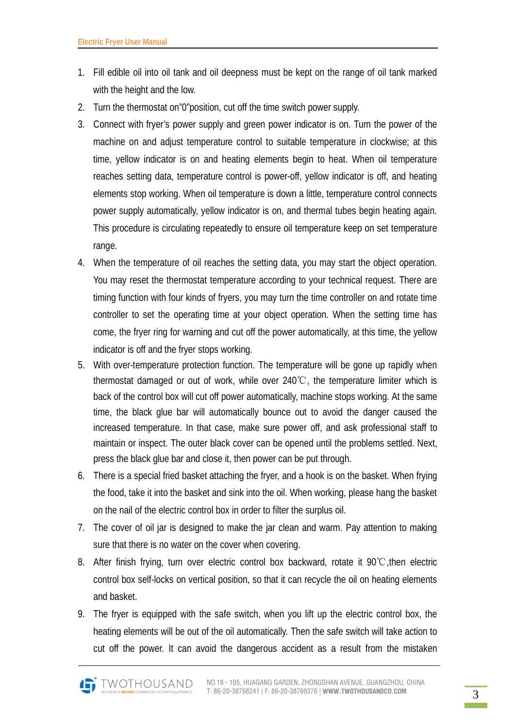- 1. Fill edible oil into oil tank and oil deepness must be kept on the range of oil tank marked with the height and the low.
- 2. Turn the thermostat on"0"position, cut off the time switch power supply.
- 3. Connect with fryer's power supply and green power indicator is on. Turn the power of the machine on and adjust temperature control to suitable temperature in clockwise; at this time, yellow indicator is on and heating elements begin to heat. When oil temperature reaches setting data, temperature control is power-off, yellow indicator is off, and heating elements stop working. When oil temperature is down a little, temperature control connects power supply automatically, yellow indicator is on, and thermal tubes begin heating again. This procedure is circulating repeatedly to ensure oil temperature keep on set temperature range.
- 4. When the temperature of oil reaches the setting data, you may start the object operation. You may reset the thermostat temperature according to your technical request. There are timing function with four kinds of fryers, you may turn the time controller on and rotate time controller to set the operating time at your object operation. When the setting time has come, the fryer ring for warning and cut off the power automatically, at this time, the yellow indicator is off and the fryer stops working.
- 5. With over-temperature protection function. The temperature will be gone up rapidly when thermostat damaged or out of work, while over 240℃, the temperature limiter which is back of the control box will cut off power automatically, machine stops working. At the same time, the black glue bar will automatically bounce out to avoid the danger caused the increased temperature. In that case, make sure power off, and ask professional staff to maintain or inspect. The outer black cover can be opened until the problems settled. Next, press the black glue bar and close it, then power can be put through.
- 6. There is a special fried basket attaching the fryer, and a hook is on the basket. When frying the food, take it into the basket and sink into the oil. When working, please hang the basket on the nail of the electric control box in order to filter the surplus oil.
- 7. The cover of oil jar is designed to make the jar clean and warm. Pay attention to making sure that there is no water on the cover when covering.
- 8. After finish frying, turn over electric control box backward, rotate it 90℃,then electric control box self-locks on vertical position, so that it can recycle the oil on heating elements and basket.
- 9. The fryer is equipped with the safe switch, when you lift up the electric control box, the heating elements will be out of the oil automatically. Then the safe switch will take action to cut off the power. It can avoid the dangerous accident as a result from the mistaken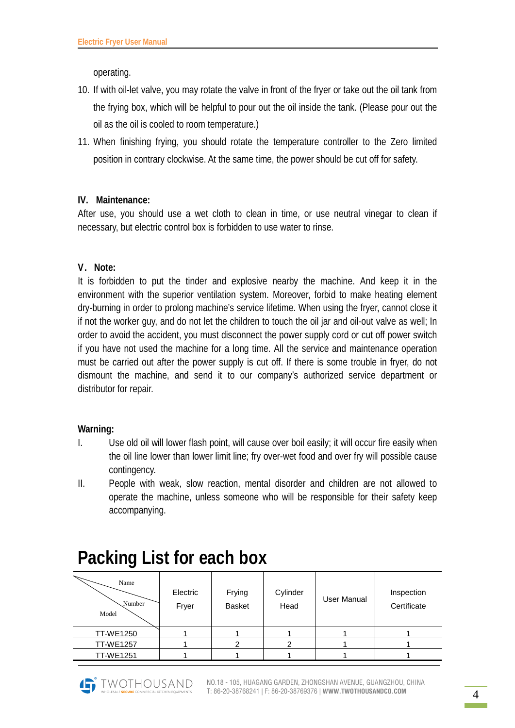operating.

- 10. If with oil-let valve, you may rotate the valve in front of the fryer or take out the oil tank from the frying box, which will be helpful to pour out the oil inside the tank. (Please pour out the oil as the oil is cooled to room temperature.)
- 11. When finishing frying, you should rotate the temperature controller to the Zero limited position in contrary clockwise. At the same time, the power should be cut off for safety.

# **IV. Maintenance:**

After use, you should use a wet cloth to clean in time, or use neutral vinegar to clean if necessary, but electric control box is forbidden to use water to rinse.

# **V**.**Note:**

It is forbidden to put the tinder and explosive nearby the machine. And keep it in the environment with the superior ventilation system. Moreover, forbid to make heating element dry-burning in order to prolong machine's service lifetime. When using the fryer, cannot close it if not the worker guy, and do not let the children to touch the oil jar and oil-out valve as well; In order to avoid the accident, you must disconnect the power supply cord or cut off power switch if you have not used the machine for a long time. All the service and maintenance operation must be carried out after the power supply is cut off. If there is some trouble in fryer, do not dismount the machine, and send it to our company's authorized service department or distributor for repair.

## **Warning:**

- I. Use old oil will lower flash point, will cause over boil easily; it will occur fire easily when the oil line lower than lower limit line; fry over-wet food and over fry will possible cause contingency.
- II. People with weak, slow reaction, mental disorder and children are not allowed to operate the machine, unless someone who will be responsible for their safety keep accompanying.

| Name<br>Number<br>Model | Electric<br>Fryer | Frying<br><b>Basket</b> | Cylinder<br>Head | User Manual | Inspection<br>Certificate |
|-------------------------|-------------------|-------------------------|------------------|-------------|---------------------------|
| <b>TT-WE1250</b>        |                   |                         |                  |             |                           |
| <b>TT-WE1257</b>        |                   |                         |                  |             |                           |
| <b>TT-WE1251</b>        |                   |                         |                  |             |                           |

# **Packing List for each box**